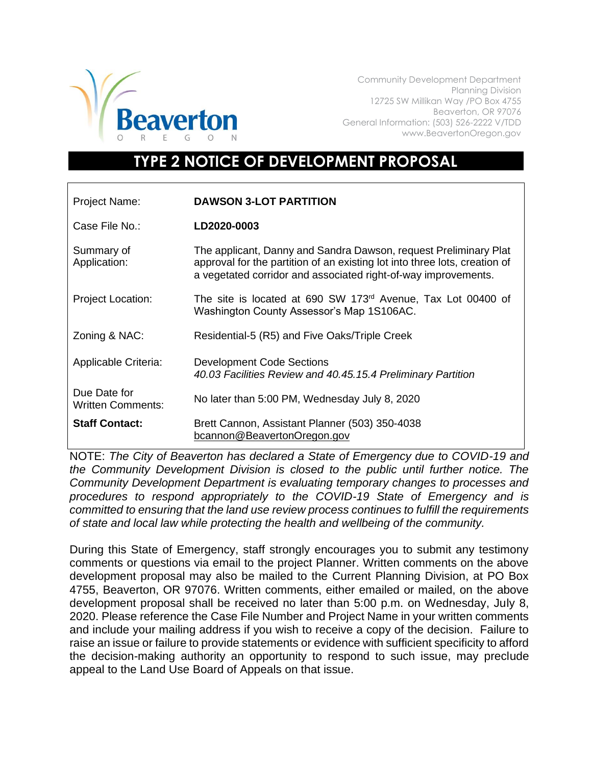

Community Development Department Planning Division 12725 SW Millikan Way /PO Box 4755 Beaverton, OR 97076 General Information: (503) 526-2222 V/TDD www.BeavertonOregon.gov

## **TYPE 2 NOTICE OF DEVELOPMENT PROPOSAL**

| <b>Project Name:</b>                     | <b>DAWSON 3-LOT PARTITION</b>                                                                                                                                                                                    |
|------------------------------------------|------------------------------------------------------------------------------------------------------------------------------------------------------------------------------------------------------------------|
| Case File No.:                           | LD2020-0003                                                                                                                                                                                                      |
| Summary of<br>Application:               | The applicant, Danny and Sandra Dawson, request Preliminary Plat<br>approval for the partition of an existing lot into three lots, creation of<br>a vegetated corridor and associated right-of-way improvements. |
| <b>Project Location:</b>                 | The site is located at 690 SW 173 <sup>rd</sup> Avenue, Tax Lot 00400 of<br>Washington County Assessor's Map 1S106AC.                                                                                            |
| Zoning & NAC:                            | Residential-5 (R5) and Five Oaks/Triple Creek                                                                                                                                                                    |
| Applicable Criteria:                     | <b>Development Code Sections</b><br>40.03 Facilities Review and 40.45.15.4 Preliminary Partition                                                                                                                 |
| Due Date for<br><b>Written Comments:</b> | No later than 5:00 PM, Wednesday July 8, 2020                                                                                                                                                                    |
| <b>Staff Contact:</b>                    | Brett Cannon, Assistant Planner (503) 350-4038<br>bcannon@BeavertonOregon.gov                                                                                                                                    |

NOTE: *The City of Beaverton has declared a State of Emergency due to COVID-19 and the Community Development Division is closed to the public until further notice. The Community Development Department is evaluating temporary changes to processes and procedures to respond appropriately to the COVID-19 State of Emergency and is committed to ensuring that the land use review process continues to fulfill the requirements of state and local law while protecting the health and wellbeing of the community.*

During this State of Emergency, staff strongly encourages you to submit any testimony comments or questions via email to the project Planner. Written comments on the above development proposal may also be mailed to the Current Planning Division, at PO Box 4755, Beaverton, OR 97076. Written comments, either emailed or mailed, on the above development proposal shall be received no later than 5:00 p.m. on Wednesday, July 8, 2020. Please reference the Case File Number and Project Name in your written comments and include your mailing address if you wish to receive a copy of the decision. Failure to raise an issue or failure to provide statements or evidence with sufficient specificity to afford the decision-making authority an opportunity to respond to such issue, may preclude appeal to the Land Use Board of Appeals on that issue.